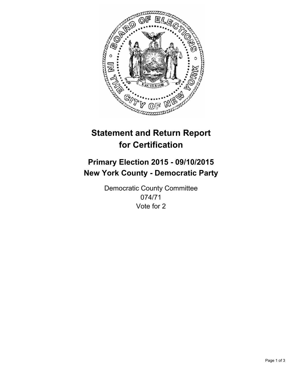

# **Statement and Return Report for Certification**

## **Primary Election 2015 - 09/10/2015 New York County - Democratic Party**

Democratic County Committee 074/71 Vote for 2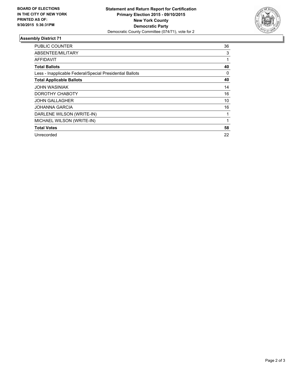

#### **Assembly District 71**

| <b>PUBLIC COUNTER</b>                                    | 36 |
|----------------------------------------------------------|----|
| ABSENTEE/MILITARY                                        | 3  |
| AFFIDAVIT                                                | 1  |
| <b>Total Ballots</b>                                     | 40 |
| Less - Inapplicable Federal/Special Presidential Ballots | 0  |
| <b>Total Applicable Ballots</b>                          | 40 |
| <b>JOHN WASINIAK</b>                                     | 14 |
| DOROTHY CHABOTY                                          | 16 |
| <b>JOHN GALLAGHER</b>                                    | 10 |
| <b>JOHANNA GARCIA</b>                                    | 16 |
| DARLENE WILSON (WRITE-IN)                                |    |
| MICHAEL WILSON (WRITE-IN)                                | 1  |
| <b>Total Votes</b>                                       | 58 |
| Unrecorded                                               | 22 |